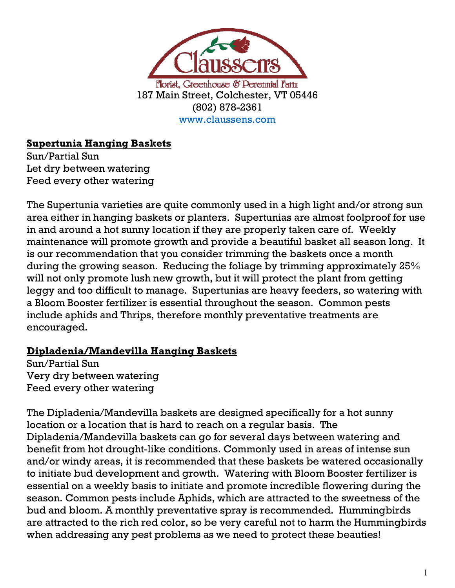

### **Supertunia Hanging Baskets**

Sun/Partial Sun Let dry between watering Feed every other watering

The Supertunia varieties are quite commonly used in a high light and/or strong sun area either in hanging baskets or planters. Supertunias are almost foolproof for use in and around a hot sunny location if they are properly taken care of. Weekly maintenance will promote growth and provide a beautiful basket all season long. It is our recommendation that you consider trimming the baskets once a month during the growing season. Reducing the foliage by trimming approximately 25% will not only promote lush new growth, but it will protect the plant from getting leggy and too difficult to manage. Supertunias are heavy feeders, so watering with a Bloom Booster fertilizer is essential throughout the season. Common pests include aphids and Thrips, therefore monthly preventative treatments are encouraged.

#### **Dipladenia/Mandevilla Hanging Baskets**

Sun/Partial Sun Very dry between watering Feed every other watering

The Dipladenia/Mandevilla baskets are designed specifically for a hot sunny location or a location that is hard to reach on a regular basis. The Dipladenia/Mandevilla baskets can go for several days between watering and benefit from hot drought-like conditions. Commonly used in areas of intense sun and/or windy areas, it is recommended that these baskets be watered occasionally to initiate bud development and growth. Watering with Bloom Booster fertilizer is essential on a weekly basis to initiate and promote incredible flowering during the season. Common pests include Aphids, which are attracted to the sweetness of the bud and bloom. A monthly preventative spray is recommended. Hummingbirds are attracted to the rich red color, so be very careful not to harm the Hummingbirds when addressing any pest problems as we need to protect these beauties!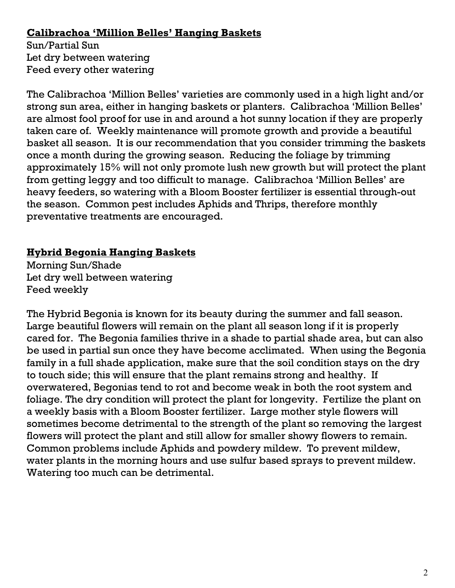#### **Calibrachoa 'Million Belles' Hanging Baskets**

Sun/Partial Sun Let dry between watering Feed every other watering

The Calibrachoa 'Million Belles' varieties are commonly used in a high light and/or strong sun area, either in hanging baskets or planters. Calibrachoa 'Million Belles' are almost fool proof for use in and around a hot sunny location if they are properly taken care of. Weekly maintenance will promote growth and provide a beautiful basket all season. It is our recommendation that you consider trimming the baskets once a month during the growing season. Reducing the foliage by trimming approximately 15% will not only promote lush new growth but will protect the plant from getting leggy and too difficult to manage. Calibrachoa 'Million Belles' are heavy feeders, so watering with a Bloom Booster fertilizer is essential through-out the season. Common pest includes Aphids and Thrips, therefore monthly preventative treatments are encouraged.

### **Hybrid Begonia Hanging Baskets**

Morning Sun/Shade Let dry well between watering Feed weekly

The Hybrid Begonia is known for its beauty during the summer and fall season. Large beautiful flowers will remain on the plant all season long if it is properly cared for. The Begonia families thrive in a shade to partial shade area, but can also be used in partial sun once they have become acclimated. When using the Begonia family in a full shade application, make sure that the soil condition stays on the dry to touch side; this will ensure that the plant remains strong and healthy. If overwatered, Begonias tend to rot and become weak in both the root system and foliage. The dry condition will protect the plant for longevity. Fertilize the plant on a weekly basis with a Bloom Booster fertilizer. Large mother style flowers will sometimes become detrimental to the strength of the plant so removing the largest flowers will protect the plant and still allow for smaller showy flowers to remain. Common problems include Aphids and powdery mildew. To prevent mildew, water plants in the morning hours and use sulfur based sprays to prevent mildew. Watering too much can be detrimental.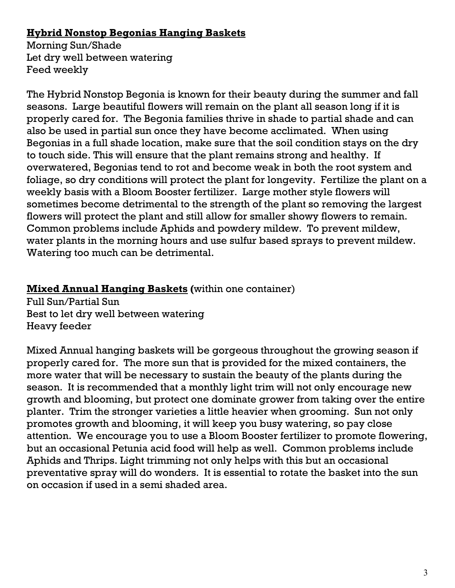### **Hybrid Nonstop Begonias Hanging Baskets**

Morning Sun/Shade Let dry well between watering Feed weekly

The Hybrid Nonstop Begonia is known for their beauty during the summer and fall seasons. Large beautiful flowers will remain on the plant all season long if it is properly cared for. The Begonia families thrive in shade to partial shade and can also be used in partial sun once they have become acclimated. When using Begonias in a full shade location, make sure that the soil condition stays on the dry to touch side. This will ensure that the plant remains strong and healthy. If overwatered, Begonias tend to rot and become weak in both the root system and foliage, so dry conditions will protect the plant for longevity. Fertilize the plant on a weekly basis with a Bloom Booster fertilizer. Large mother style flowers will sometimes become detrimental to the strength of the plant so removing the largest flowers will protect the plant and still allow for smaller showy flowers to remain. Common problems include Aphids and powdery mildew. To prevent mildew, water plants in the morning hours and use sulfur based sprays to prevent mildew. Watering too much can be detrimental.

### **Mixed Annual Hanging Baskets (**within one container)

Full Sun/Partial Sun Best to let dry well between watering Heavy feeder

Mixed Annual hanging baskets will be gorgeous throughout the growing season if properly cared for. The more sun that is provided for the mixed containers, the more water that will be necessary to sustain the beauty of the plants during the season. It is recommended that a monthly light trim will not only encourage new growth and blooming, but protect one dominate grower from taking over the entire planter. Trim the stronger varieties a little heavier when grooming. Sun not only promotes growth and blooming, it will keep you busy watering, so pay close attention. We encourage you to use a Bloom Booster fertilizer to promote flowering, but an occasional Petunia acid food will help as well. Common problems include Aphids and Thrips. Light trimming not only helps with this but an occasional preventative spray will do wonders. It is essential to rotate the basket into the sun on occasion if used in a semi shaded area.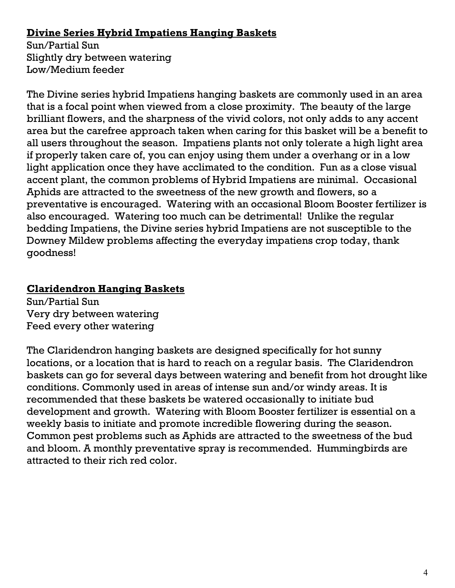### **Divine Series Hybrid Impatiens Hanging Baskets**

Sun/Partial Sun Slightly dry between watering Low/Medium feeder

The Divine series hybrid Impatiens hanging baskets are commonly used in an area that is a focal point when viewed from a close proximity. The beauty of the large brilliant flowers, and the sharpness of the vivid colors, not only adds to any accent area but the carefree approach taken when caring for this basket will be a benefit to all users throughout the season. Impatiens plants not only tolerate a high light area if properly taken care of, you can enjoy using them under a overhang or in a low light application once they have acclimated to the condition. Fun as a close visual accent plant, the common problems of Hybrid Impatiens are minimal. Occasional Aphids are attracted to the sweetness of the new growth and flowers, so a preventative is encouraged. Watering with an occasional Bloom Booster fertilizer is also encouraged. Watering too much can be detrimental! Unlike the regular bedding Impatiens, the Divine series hybrid Impatiens are not susceptible to the Downey Mildew problems affecting the everyday impatiens crop today, thank goodness!

# **Claridendron Hanging Baskets**

Sun/Partial Sun Very dry between watering Feed every other watering

The Claridendron hanging baskets are designed specifically for hot sunny locations, or a location that is hard to reach on a regular basis. The Claridendron baskets can go for several days between watering and benefit from hot drought like conditions. Commonly used in areas of intense sun and/or windy areas. It is recommended that these baskets be watered occasionally to initiate bud development and growth. Watering with Bloom Booster fertilizer is essential on a weekly basis to initiate and promote incredible flowering during the season. Common pest problems such as Aphids are attracted to the sweetness of the bud and bloom. A monthly preventative spray is recommended. Hummingbirds are attracted to their rich red color.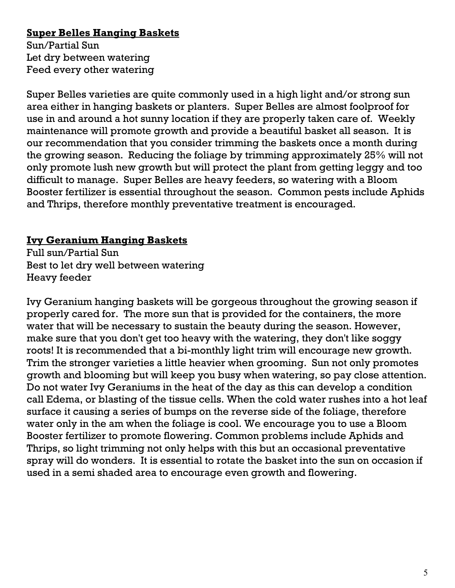# **Super Belles Hanging Baskets**

Sun/Partial Sun Let dry between watering Feed every other watering

Super Belles varieties are quite commonly used in a high light and/or strong sun area either in hanging baskets or planters. Super Belles are almost foolproof for use in and around a hot sunny location if they are properly taken care of. Weekly maintenance will promote growth and provide a beautiful basket all season. It is our recommendation that you consider trimming the baskets once a month during the growing season. Reducing the foliage by trimming approximately 25% will not only promote lush new growth but will protect the plant from getting leggy and too difficult to manage. Super Belles are heavy feeders, so watering with a Bloom Booster fertilizer is essential throughout the season. Common pests include Aphids and Thrips, therefore monthly preventative treatment is encouraged.

### **Ivy Geranium Hanging Baskets**

Full sun/Partial Sun Best to let dry well between watering Heavy feeder

Ivy Geranium hanging baskets will be gorgeous throughout the growing season if properly cared for. The more sun that is provided for the containers, the more water that will be necessary to sustain the beauty during the season. However, make sure that you don't get too heavy with the watering, they don't like soggy roots! It is recommended that a bi-monthly light trim will encourage new growth. Trim the stronger varieties a little heavier when grooming. Sun not only promotes growth and blooming but will keep you busy when watering, so pay close attention. Do not water Ivy Geraniums in the heat of the day as this can develop a condition call Edema, or blasting of the tissue cells. When the cold water rushes into a hot leaf surface it causing a series of bumps on the reverse side of the foliage, therefore water only in the am when the foliage is cool. We encourage you to use a Bloom Booster fertilizer to promote flowering. Common problems include Aphids and Thrips, so light trimming not only helps with this but an occasional preventative spray will do wonders. It is essential to rotate the basket into the sun on occasion if used in a semi shaded area to encourage even growth and flowering.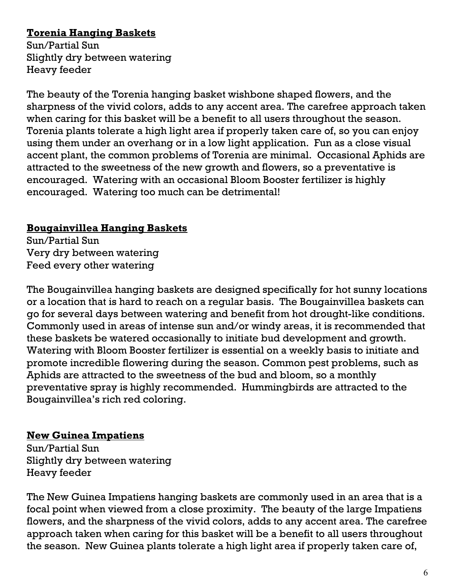# **Torenia Hanging Baskets**

Sun/Partial Sun Slightly dry between watering Heavy feeder

The beauty of the Torenia hanging basket wishbone shaped flowers, and the sharpness of the vivid colors, adds to any accent area. The carefree approach taken when caring for this basket will be a benefit to all users throughout the season. Torenia plants tolerate a high light area if properly taken care of, so you can enjoy using them under an overhang or in a low light application. Fun as a close visual accent plant, the common problems of Torenia are minimal. Occasional Aphids are attracted to the sweetness of the new growth and flowers, so a preventative is encouraged. Watering with an occasional Bloom Booster fertilizer is highly encouraged. Watering too much can be detrimental!

# **Bougainvillea Hanging Baskets**

Sun/Partial Sun Very dry between watering Feed every other watering

The Bougainvillea hanging baskets are designed specifically for hot sunny locations or a location that is hard to reach on a regular basis. The Bougainvillea baskets can go for several days between watering and benefit from hot drought-like conditions. Commonly used in areas of intense sun and/or windy areas, it is recommended that these baskets be watered occasionally to initiate bud development and growth. Watering with Bloom Booster fertilizer is essential on a weekly basis to initiate and promote incredible flowering during the season. Common pest problems, such as Aphids are attracted to the sweetness of the bud and bloom, so a monthly preventative spray is highly recommended. Hummingbirds are attracted to the Bougainvillea's rich red coloring.

### **New Guinea Impatiens**

Sun/Partial Sun Slightly dry between watering Heavy feeder

The New Guinea Impatiens hanging baskets are commonly used in an area that is a focal point when viewed from a close proximity. The beauty of the large Impatiens flowers, and the sharpness of the vivid colors, adds to any accent area. The carefree approach taken when caring for this basket will be a benefit to all users throughout the season. New Guinea plants tolerate a high light area if properly taken care of,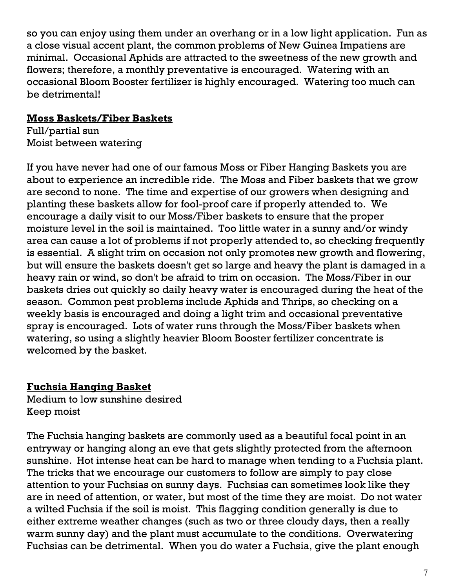so you can enjoy using them under an overhang or in a low light application. Fun as a close visual accent plant, the common problems of New Guinea Impatiens are minimal. Occasional Aphids are attracted to the sweetness of the new growth and flowers; therefore, a monthly preventative is encouraged. Watering with an occasional Bloom Booster fertilizer is highly encouraged. Watering too much can be detrimental!

#### **Moss Baskets/Fiber Baskets**

Full/partial sun Moist between watering

If you have never had one of our famous Moss or Fiber Hanging Baskets you are about to experience an incredible ride. The Moss and Fiber baskets that we grow are second to none. The time and expertise of our growers when designing and planting these baskets allow for fool-proof care if properly attended to. We encourage a daily visit to our Moss/Fiber baskets to ensure that the proper moisture level in the soil is maintained. Too little water in a sunny and/or windy area can cause a lot of problems if not properly attended to, so checking frequently is essential. A slight trim on occasion not only promotes new growth and flowering, but will ensure the baskets doesn't get so large and heavy the plant is damaged in a heavy rain or wind, so don't be afraid to trim on occasion. The Moss/Fiber in our baskets dries out quickly so daily heavy water is encouraged during the heat of the season. Common pest problems include Aphids and Thrips, so checking on a weekly basis is encouraged and doing a light trim and occasional preventative spray is encouraged. Lots of water runs through the Moss/Fiber baskets when watering, so using a slightly heavier Bloom Booster fertilizer concentrate is welcomed by the basket.

#### **Fuchsia Hanging Basket**

Medium to low sunshine desired Keep moist

The Fuchsia hanging baskets are commonly used as a beautiful focal point in an entryway or hanging along an eve that gets slightly protected from the afternoon sunshine. Hot intense heat can be hard to manage when tending to a Fuchsia plant. The tricks that we encourage our customers to follow are simply to pay close attention to your Fuchsias on sunny days. Fuchsias can sometimes look like they are in need of attention, or water, but most of the time they are moist. Do not water a wilted Fuchsia if the soil is moist. This flagging condition generally is due to either extreme weather changes (such as two or three cloudy days, then a really warm sunny day) and the plant must accumulate to the conditions. Overwatering Fuchsias can be detrimental. When you do water a Fuchsia, give the plant enough